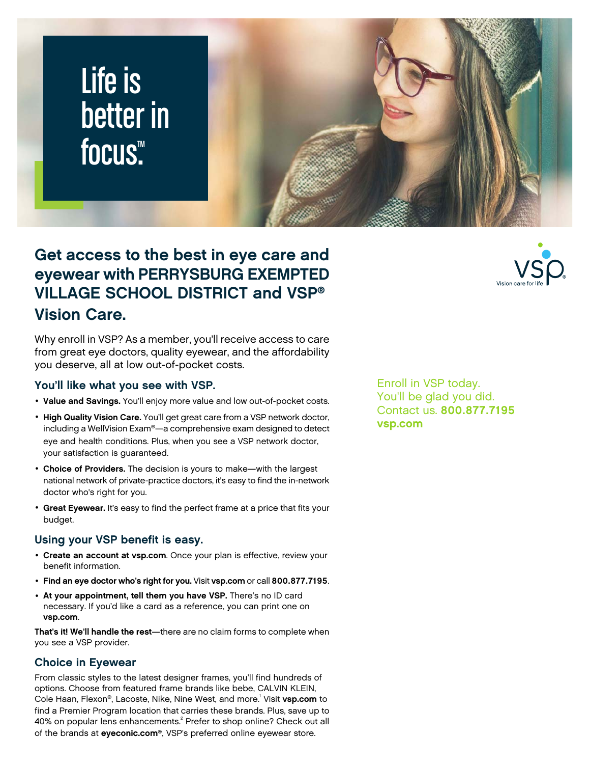# Life is better in focus<sup>™</sup>

### **Get access to the best in eye care and eyewear with PERRYSBURG EXEMPTED VILLAGE SCHOOL DISTRICT and VSP® Vision Care.**

Why enroll in VSP? As a member, you'll receive access to care from great eye doctors, quality eyewear, and the affordability you deserve, all at low out-of-pocket costs.

### **You'll like what you see with VSP.**

- **Value and Savings.** You'll enjoy more value and low out-of-pocket costs.
- **High Quality Vision Care.** You'll get great care from a VSP network doctor, including a WellVision Exam®—a comprehensive exam designed to detect eye and health conditions. Plus, when you see a VSP network doctor, your satisfaction is guaranteed.
- **Choice of Providers.** The decision is yours to make—with the largest national network of private-practice doctors, it's easy to find the in-network doctor who's right for you.
- **Great Eyewear.** It's easy to find the perfect frame at a price that fits your budget.

### **Using your VSP benefit is easy.**

- **Create an account at [vsp.com](www.vsp.com)**. Once your plan is effective, review your benefit information.
- **Find an eye doctor who's right for you.** Visit **[vsp.com](www.vsp.com)** or call **800.877.7195**.
- **At your appointment, tell them you have VSP.** There's no ID card necessary. If you'd like a card as a reference, you can print one on **[vsp.com](www.vsp.com)**.

**That's it! We'll handle the rest**—there are no claim forms to complete when you see a VSP provider.

### **Choice in Eyewear**

From classic styles to the latest designer frames, you'll find hundreds of options. Choose from featured frame brands like bebe, CALVIN KLEIN, Cole Haan, Flexon®, Lacoste, Nike, Nine West, and more.<sup>1</sup> Visit **[vsp.com](www.vsp.com)** to find a Premier Program location that carries these brands. Plus, save up to 40% on popular lens enhancements.<sup>2</sup> Prefer to shop online? Check out all of the brands at **[eyeconic.com](www.eyeconic.com)**®, VSP's preferred online eyewear store.

Enroll in VSP today. You'll be glad you did. Contact us. **800.877.7195 [vsp.com](http://www.vsp.com)**